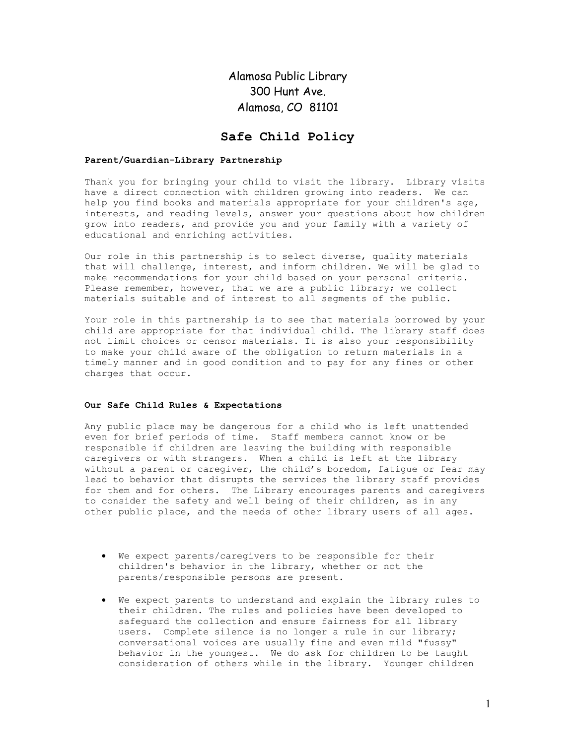Alamosa Public Library 300 Hunt Ave. Alamosa, CO 81101

## Safe Child Policy

## Parent/Guardian-Library Partnership

Thank you for bringing your child to visit the library. Library visits have a direct connection with children growing into readers. We can help you find books and materials appropriate for your children's age, interests, and reading levels, answer your questions about how children grow into readers, and provide you and your family with a variety of educational and enriching activities.

Our role in this partnership is to select diverse, quality materials that will challenge, interest, and inform children. We will be glad to make recommendations for your child based on your personal criteria. Please remember, however, that we are a public library; we collect materials suitable and of interest to all segments of the public.

Your role in this partnership is to see that materials borrowed by your child are appropriate for that individual child. The library staff does not limit choices or censor materials. It is also your responsibility to make your child aware of the obligation to return materials in a timely manner and in good condition and to pay for any fines or other charges that occur.

## Our Safe Child Rules & Expectations

Any public place may be dangerous for a child who is left unattended even for brief periods of time. Staff members cannot know or be responsible if children are leaving the building with responsible caregivers or with strangers. When a child is left at the library without a parent or caregiver, the child's boredom, fatigue or fear may lead to behavior that disrupts the services the library staff provides for them and for others. The Library encourages parents and caregivers to consider the safety and well being of their children, as in any other public place, and the needs of other library users of all ages.

- We expect parents/caregivers to be responsible for their children's behavior in the library, whether or not the parents/responsible persons are present.
- We expect parents to understand and explain the library rules to their children. The rules and policies have been developed to safeguard the collection and ensure fairness for all library users. Complete silence is no longer a rule in our library; conversational voices are usually fine and even mild "fussy" behavior in the youngest. We do ask for children to be taught consideration of others while in the library. Younger children

1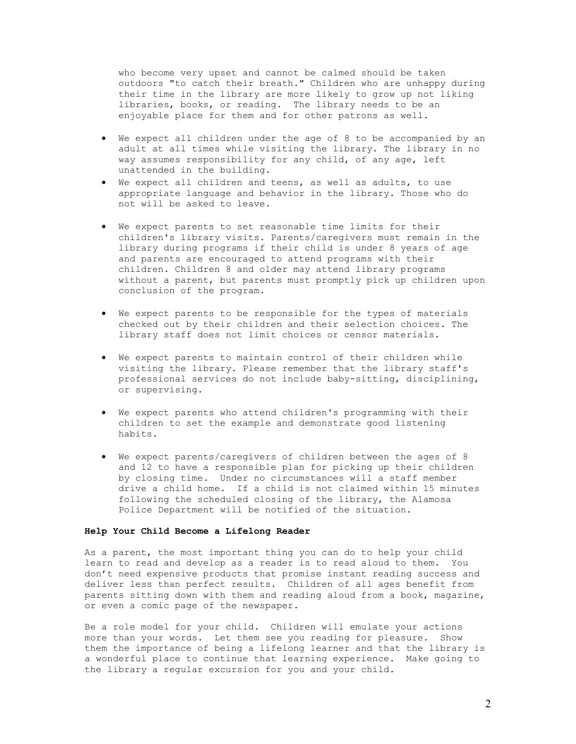who become very upset and cannot be calmed should be taken outdoors "to catch their breath." Children who are unhappy during their time in the library are more likely to grow up not liking libraries, books, or reading. The library needs to be an enjoyable place for them and for other patrons as well.

- We expect all children under the age of 8 to be accompanied by an adult at all times while visiting the library. The library in no way assumes responsibility for any child, of any age, left unattended in the building.
- We expect all children and teens, as well as adults, to use appropriate language and behavior in the library. Those who do not will be asked to leave.
- We expect parents to set reasonable time limits for their children's library visits. Parents/caregivers must remain in the library during programs if their child is under 8 years of age and parents are encouraged to attend programs with their children. Children 8 and older may attend library programs without a parent, but parents must promptly pick up children upon conclusion of the program.
- We expect parents to be responsible for the types of materials checked out by their children and their selection choices. The library staff does not limit choices or censor materials.
- We expect parents to maintain control of their children while visiting the library. Please remember that the library staff's professional services do not include baby-sitting, disciplining, or supervising.
- We expect parents who attend children's programming with their children to set the example and demonstrate good listening habits.
- We expect parents/caregivers of children between the ages of 8 and 12 to have a responsible plan for picking up their children by closing time. Under no circumstances will a staff member drive a child home. If a child is not claimed within 15 minutes following the scheduled closing of the library, the Alamosa Police Department will be notified of the situation.

## Help Your Child Become a Lifelong Reader

As a parent, the most important thing you can do to help your child learn to read and develop as a reader is to read aloud to them. You don't need expensive products that promise instant reading success and deliver less than perfect results. Children of all ages benefit from parents sitting down with them and reading aloud from a book, magazine, or even a comic page of the newspaper.

Be a role model for your child. Children will emulate your actions more than your words. Let them see you reading for pleasure. Show them the importance of being a lifelong learner and that the library is a wonderful place to continue that learning experience. Make going to the library a regular excursion for you and your child.